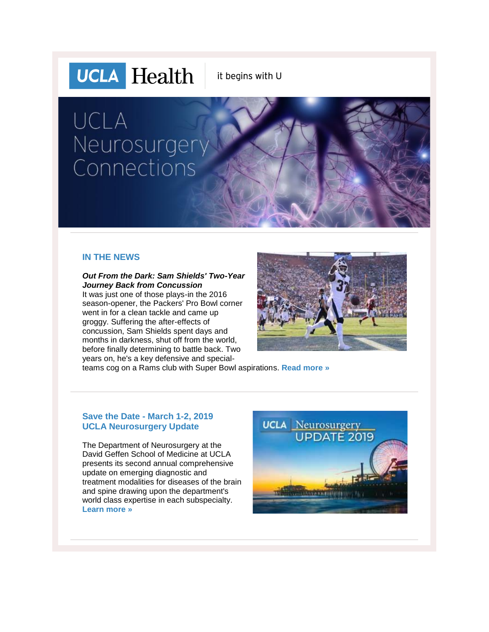

it begins with U

# UCLA Neurosurgery Connections

### **IN THE NEWS**

*Out From the Dark: Sam Shields' Two-Year Journey Back from Concussion*

It was just one of those plays-in the 2016 season-opener, the Packers' Pro Bowl corner went in for a clean tackle and came up groggy. Suffering the after-effects of concussion, Sam Shields spent days and months in darkness, shut off from the world, before finally determining to battle back. Two years on, he's a key defensive and special-



teams cog on a Rams club with Super Bowl aspirations. **[Read more »](http://r20.rs6.net/tn.jsp?f=001eUaCyLqbMu0ykr4-_ylMtmRslaZbI7461ZQBVN3kpMhikULdk3LNKEXFV1KDTOtm3R981zSCrQIuCdVkhYhnLE2mhJ7uIpagEaoqavI1vE_QD3IueGQxHxTuoYof3xwGZS6pBUHc90YMvqwHv3s6cQiCq1_Cj8fI7A80IbQK8vx536Ym7K7TO5xhVfBEeeKICC8yvemnj_hJwm8RRcvSxDz6GmXDkgYugQThvYniAXlfa2sua0SfI3VNo1RivceqdbzSQhqIQ6M=&c=QK7dOvuWjr9EWPblvVJ_0XtRr2uK0PqHHrMhbS_AJlWLZYUI1l54Uw==&ch=62mUuFS87G-AaAhPWisouHQCfGgnGoKFowXgqJMpqDiMX0CI-Bpyfg==)**

## **Save the Date - March 1-2, 2019 UCLA Neurosurgery Update**

The Department of Neurosurgery at the David Geffen School of Medicine at UCLA presents its second annual comprehensive update on emerging diagnostic and treatment modalities for diseases of the brain and spine drawing upon the department's world class expertise in each subspecialty. **[Learn more »](http://r20.rs6.net/tn.jsp?f=001eUaCyLqbMu0ykr4-_ylMtmRslaZbI7461ZQBVN3kpMhikULdk3LNKORrB7qt0WLfB6uenOfJ9mHWRmyZoMMdSg0-H_FbeqJuH3unTRj0TdHcBNOn9DpYeNyP7-fmC9Z8mm6LqFy7ADuv3man26cixZ9cSCQO2cRClKq51avMTnh08c9-VYYfNDk92SZ2uJpvl0cuemvcQBlgebGREjoCgA==&c=QK7dOvuWjr9EWPblvVJ_0XtRr2uK0PqHHrMhbS_AJlWLZYUI1l54Uw==&ch=62mUuFS87G-AaAhPWisouHQCfGgnGoKFowXgqJMpqDiMX0CI-Bpyfg==)**

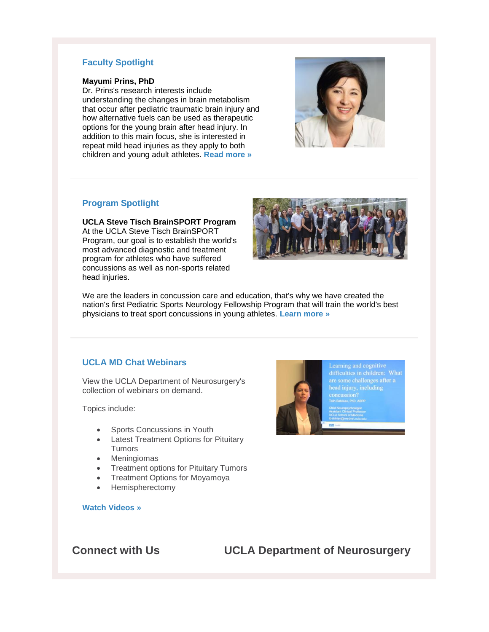## **Faculty Spotlight**

#### **Mayumi Prins, PhD**

Dr. Prins's research interests include understanding the changes in brain metabolism that occur after pediatric traumatic brain injury and how alternative fuels can be used as therapeutic options for the young brain after head injury. In addition to this main focus, she is interested in repeat mild head injuries as they apply to both children and young adult athletes. **[Read more »](http://r20.rs6.net/tn.jsp?f=001eUaCyLqbMu0ykr4-_ylMtmRslaZbI7461ZQBVN3kpMhikULdk3LNKEXFV1KDTOtmpQ2rWcG-FjiPSgQM6iuqDs2Ikt3_-BKxLBURh3oNd05mtsx5Ot_4o-S-TQi4_qa5IntYnHXrIqBwLiH62csrIxi52wEBt9cfgaI3Z5FThnlQY4aB4HwhodhrUc8gMA_9&c=QK7dOvuWjr9EWPblvVJ_0XtRr2uK0PqHHrMhbS_AJlWLZYUI1l54Uw==&ch=62mUuFS87G-AaAhPWisouHQCfGgnGoKFowXgqJMpqDiMX0CI-Bpyfg==)**



### **Program Spotlight**

**UCLA Steve Tisch BrainSPORT Program** At the UCLA Steve Tisch BrainSPORT Program, our goal is to establish the world's most advanced diagnostic and treatment program for athletes who have suffered concussions as well as non-sports related head injuries.



We are the leaders in concussion care and education, that's why we have created the nation's first Pediatric Sports Neurology Fellowship Program that will train the world's best physicians to treat sport concussions in young athletes. **[Learn more »](http://r20.rs6.net/tn.jsp?f=001eUaCyLqbMu0ykr4-_ylMtmRslaZbI7461ZQBVN3kpMhikULdk3LNKEXFV1KDTOtmbzcFpIHHgJRzJF-f1okqN26F3v87s_f8GDHeE4EgF4K3ziXWmiLgnCVdEkkkJWi-3KZ7MfOpgIn3Zs9G6ZiTiIr-ZRRfKzkA6Bi1bF2i03M39lhJu8RgCTc-O9rIXkU1&c=QK7dOvuWjr9EWPblvVJ_0XtRr2uK0PqHHrMhbS_AJlWLZYUI1l54Uw==&ch=62mUuFS87G-AaAhPWisouHQCfGgnGoKFowXgqJMpqDiMX0CI-Bpyfg==)**

### **UCLA MD Chat Webinars**

View the UCLA Department of Neurosurgery's collection of webinars on demand.

Topics include:

- Sports Concussions in Youth
- Latest Treatment Options for Pituitary Tumors
- Meningiomas
- Treatment options for Pituitary Tumors
- Treatment Options for Moyamoya
- Hemispherectomy

#### **[Watch Videos »](http://r20.rs6.net/tn.jsp?f=001eUaCyLqbMu0ykr4-_ylMtmRslaZbI7461ZQBVN3kpMhikULdk3LNKEXFV1KDTOtmMxAK3KtBdA2s44Rb2ROZtDjw7qMT6G0VmSpRJ7oEWb3DXruOFPp8PFv1zWfa8Le18lvTiIOY5uBlHPr6j96LY7umHWNpBQOk2nJtgD0H6_rp2FYLSHiFzKU27Ywg4w4MI3Mf1UwFjrQ=&c=QK7dOvuWjr9EWPblvVJ_0XtRr2uK0PqHHrMhbS_AJlWLZYUI1l54Uw==&ch=62mUuFS87G-AaAhPWisouHQCfGgnGoKFowXgqJMpqDiMX0CI-Bpyfg==)**



head injury, including

**Connect with Us UCLA Department of Neurosurgery**